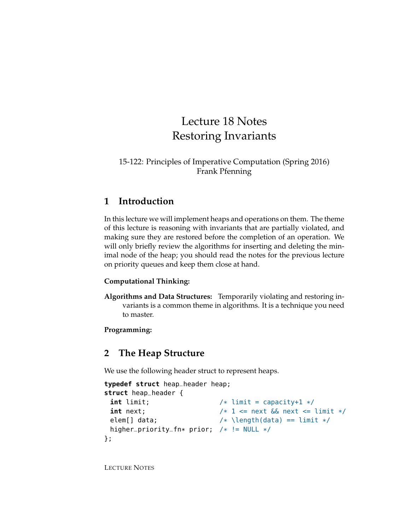# Lecture 18 Notes Restoring Invariants

#### 15-122: Principles of Imperative Computation (Spring 2016) Frank Pfenning

### **1 Introduction**

In this lecture we will implement heaps and operations on them. The theme of this lecture is reasoning with invariants that are partially violated, and making sure they are restored before the completion of an operation. We will only briefly review the algorithms for inserting and deleting the minimal node of the heap; you should read the notes for the previous lecture on priority queues and keep them close at hand.

#### **Computational Thinking:**

**Algorithms and Data Structures:** Temporarily violating and restoring invariants is a common theme in algorithms. It is a technique you need to master.

#### **Programming:**

# **2 The Heap Structure**

We use the following header struct to represent heaps.

```
typedef struct heap_header heap;
struct heap_header {
 int limit; /* limit = capacity+1 */int next; /* 1 \leq next \& next \leq limit */elem[] data; /* \left(\frac{data}{} \right) == \limit */higher_priority_fn* prior; /* != NULL */
};
```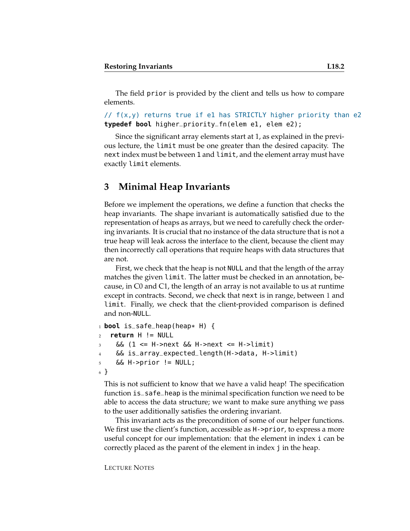The field prior is provided by the client and tells us how to compare elements.

```
\frac{1}{1} f(x,y) returns true if e1 has STRICTLY higher priority than e2
typedef bool higher_priority_fn(elem e1, elem e2);
```
Since the significant array elements start at 1, as explained in the previous lecture, the limit must be one greater than the desired capacity. The next index must be between 1 and limit, and the element array must have exactly limit elements.

### **3 Minimal Heap Invariants**

Before we implement the operations, we define a function that checks the heap invariants. The shape invariant is automatically satisfied due to the representation of heaps as arrays, but we need to carefully check the ordering invariants. It is crucial that no instance of the data structure that is not a true heap will leak across the interface to the client, because the client may then incorrectly call operations that require heaps with data structures that are not.

First, we check that the heap is not NULL and that the length of the array matches the given limit. The latter must be checked in an annotation, because, in C0 and C1, the length of an array is not available to us at runtime except in contracts. Second, we check that next is in range, between 1 and limit. Finally, we check that the client-provided comparison is defined and non-NULL.

```
1 bool is_safe_heap(heap* H) {
2 return H != NULL
3 & (1 <= H->next & H->next <= H->limit)
    4 && is_array_expected_length(H->data, H->limit)
    \&\&\; H\text{-sprior} != NULL;
6 }
```
This is not sufficient to know that we have a valid heap! The specification function is\_safe\_heap is the minimal specification function we need to be able to access the data structure; we want to make sure anything we pass to the user additionally satisfies the ordering invariant.

This invariant acts as the precondition of some of our helper functions. We first use the client's function, accessible as H->prior, to express a more useful concept for our implementation: that the element in index i can be correctly placed as the parent of the element in index j in the heap.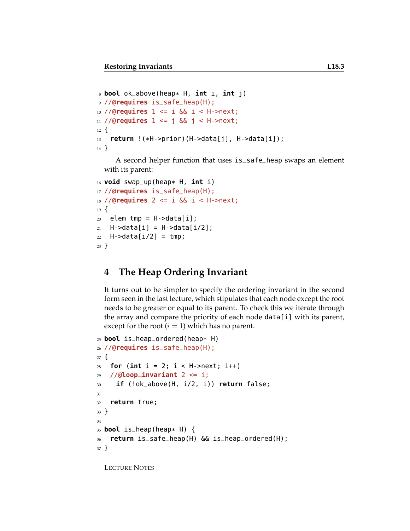```
8 bool ok_above(heap* H, int i, int j)
9 //@requires is_safe_heap(H);
10 //@requires 1 <= i && i < H->next;
11 //@requires 1 <= j && j < H->next;
12 \frac{1}{2}13 return !(*H->prior)(H->data[j], H->data[i]);
14 }
```
A second helper function that uses is\_safe\_heap swaps an element with its parent:

```
16 void swap_up(heap* H, int i)
17 //@requires is_safe_heap(H);
18 //@requires 2 <= i && i < H->next;
19 \text{ }20 elem tmp = H->data[i];
_{21} H->data[i] = H->data[i/2];
22 H->data[i/2] = tmp;
23 }
```
# **4 The Heap Ordering Invariant**

It turns out to be simpler to specify the ordering invariant in the second form seen in the last lecture, which stipulates that each node except the root needs to be greater or equal to its parent. To check this we iterate through the array and compare the priority of each node data[i] with its parent, except for the root  $(i = 1)$  which has no parent.

```
25 bool is_heap_ordered(heap* H)
26 //@requires is_safe_heap(H);
27 \frac{2}{ }28 for (int i = 2; i < H->next; i++)
29 //@loop_invariant 2 <= i;
30 if (!ok_above(H, i/2, i)) return false;
31
32 return true;
33 }
34
35 bool is_heap(heap* H) {
36 return is_safe_heap(H) && is_heap_ordered(H);
37 }
```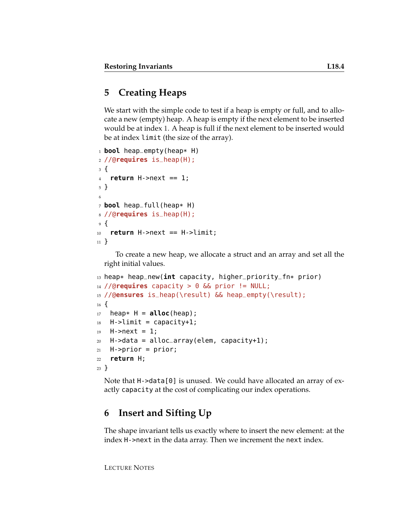# **5 Creating Heaps**

We start with the simple code to test if a heap is empty or full, and to allocate a new (empty) heap. A heap is empty if the next element to be inserted would be at index 1. A heap is full if the next element to be inserted would be at index limit (the size of the array).

```
1 bool heap_empty(heap* H)
2 //@requires is_heap(H);
3 {
4 return H->next == 1;
5 }
6
7 bool heap_full(heap* H)
8 //@requires is_heap(H);
9 {
10 return H->next == H->limit;
11 }
```
To create a new heap, we allocate a struct and an array and set all the right initial values.

```
13 heap* heap_new(int capacity, higher_priority_fn* prior)
14 //@requires capacity > 0 && prior != NULL;
15 //@ensures is_heap(\result) && heap_empty(\result);
16 \frac{1}{2}_{17} heap* H = alloc(heap);
18 H->limit = capacity+1;
19 H->next = 1;
20 H->data = alloc_array(elem, capacity+1);
21 H->prior = prior;
22 return H;
23 }
```
Note that H->data[0] is unused. We could have allocated an array of exactly capacity at the cost of complicating our index operations.

# **6 Insert and Sifting Up**

The shape invariant tells us exactly where to insert the new element: at the index H->next in the data array. Then we increment the next index.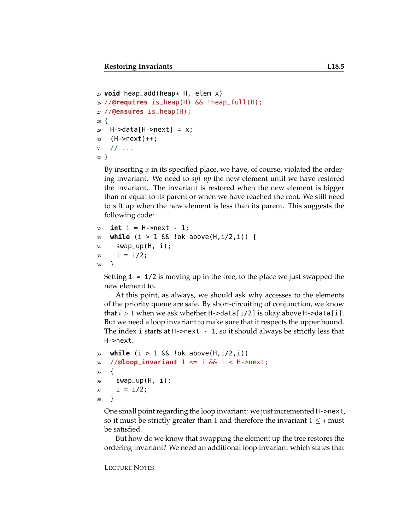```
_{25} void heap add (heap* H, elem x)
26 //@requires is_heap(H) && !heap_full(H);
27 //@ensures is_heap(H);
28 {
29 H->data[H->next] = x;
30 \text{ (H--next)}++;31 / / / \ldots32 }
```
By inserting  $x$  in its specified place, we have, of course, violated the ordering invariant. We need to *sift up* the new element until we have restored the invariant. The invariant is restored when the new element is bigger than or equal to its parent or when we have reached the root. We still need to sift up when the new element is less than its parent. This suggests the following code:

```
32 int i = H->next - 1;
33 while (i > 1 && !ok_above(H,i/2,i)) {
34 swap_up(H, i);
35 i = i/2;36 }
```
Setting  $i = i/2$  is moving up in the tree, to the place we just swapped the new element to.

At this point, as always, we should ask why accesses to the elements of the priority queue are safe. By short-circuiting of conjunction, we know that  $i > 1$  when we ask whether H->data[i/2] is okay above H->data[i]. But we need a loop invariant to make sure that it respects the upper bound. The index i starts at H->next - 1, so it should always be strictly less that H->next.

```
33 while (i > 1 && !ok_above(H,i/2,i))
34 //@loop_invariant 1 \le i & i < H->next;
35 {
36 swap_up(H, i);
37 \quad i = i/2;38 }
```
One small point regarding the loop invariant: we just incremented H->next, so it must be strictly greater than 1 and therefore the invariant  $1 \leq i$  must be satisfied.

But how do we know that swapping the element up the tree restores the ordering invariant? We need an additional loop invariant which states that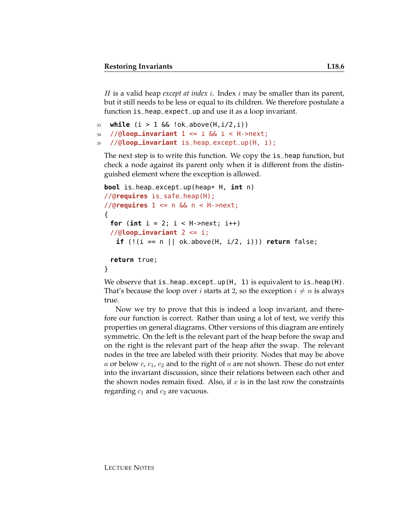H is a valid heap *except at index* i. Index i may be smaller than its parent, but it still needs to be less or equal to its children. We therefore postulate a function is\_heap\_expect\_up and use it as a loop invariant.

```
33 while (i > 1 \& (i > 1 \& (i > 1 \& (i <i>not</i>)))34 //@loop_invariant 1 \le i & i \le H->next;
35 //@loop_invariant is_heap_except_up(H, i);
```
The next step is to write this function. We copy the is\_heap function, but check a node against its parent only when it is different from the distinguished element where the exception is allowed.

```
bool is_heap_except_up(heap* H, int n)
//@requires is_safe_heap(H);
//@requires 1 <= n && n < H->next;
{
 for (int i = 2; i < H->next; i++)
 //@loop_invariant 2 <= i;
   if (!(i == n || ok_above(H, i/2, i))) return false;
 return true;
}
```
We observe that  $is\_heap\_except\_up(H, 1)$  is equivalent to  $is\_heap(H)$ . That's because the loop over *i* starts at 2, so the exception  $i \neq n$  is always true.

Now we try to prove that this is indeed a loop invariant, and therefore our function is correct. Rather than using a lot of text, we verify this properties on general diagrams. Other versions of this diagram are entirely symmetric. On the left is the relevant part of the heap before the swap and on the right is the relevant part of the heap after the swap. The relevant nodes in the tree are labeled with their priority. Nodes that may be above a or below  $c, c_1, c_2$  and to the right of a are not shown. These do not enter into the invariant discussion, since their relations between each other and the shown nodes remain fixed. Also, if  $x$  is in the last row the constraints regarding  $c_1$  and  $c_2$  are vacuous.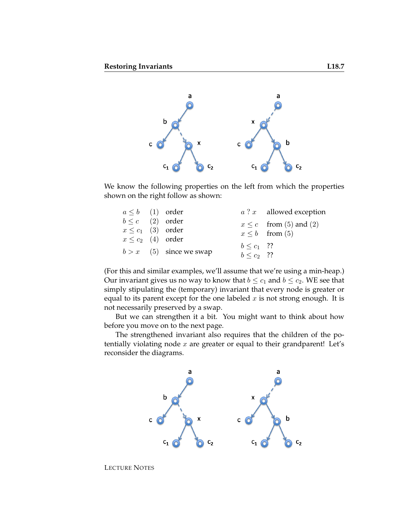

We know the following properties on the left from which the properties shown on the right follow as shown:

| $a \leq b$ (1) order   |                           |                 | $a$ ? $x$ allowed exception |
|------------------------|---------------------------|-----------------|-----------------------------|
| $b \leq c$ (2) order   |                           |                 | $x \leq c$ from (5) and (2) |
| $x \leq c_1$ (3) order |                           |                 | $x \leq b$ from (5)         |
| $x \leq c_2$ (4) order |                           |                 |                             |
|                        |                           | $b \leq c_1$ ?? |                             |
|                        | $b > x$ (5) since we swap | $b < c_2$ ??    |                             |

(For this and similar examples, we'll assume that we're using a min-heap.) Our invariant gives us no way to know that  $b \leq c_1$  and  $b \leq c_2$ . WE see that simply stipulating the (temporary) invariant that every node is greater or equal to its parent except for the one labeled  $x$  is not strong enough. It is not necessarily preserved by a swap.

But we can strengthen it a bit. You might want to think about how before you move on to the next page.

The strengthened invariant also requires that the children of the potentially violating node  $x$  are greater or equal to their grandparent! Let's reconsider the diagrams.

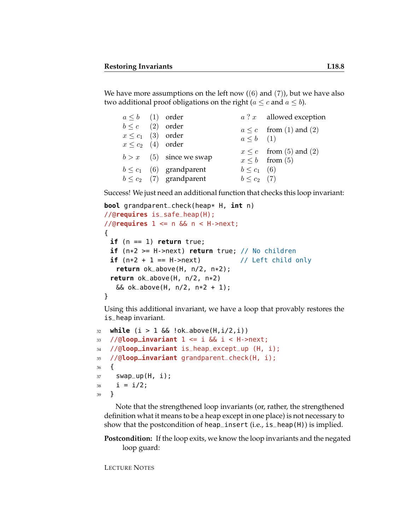We have more assumptions on the left now  $((6)$  and  $(7)$ ), but we have also two additional proof obligations on the right ( $a \leq c$  and  $a \leq b$ ).

| $a \leq b$ (1) order   |                              |                  | $a$ ? $x$ allowed exception |
|------------------------|------------------------------|------------------|-----------------------------|
| $b \leq c$ (2) order   |                              |                  | $a \leq c$ from (1) and (2) |
| $x \leq c_1$ (3) order |                              | $a \leq b$ (1)   |                             |
| $x \leq c_2$ (4) order |                              |                  |                             |
|                        |                              |                  | $x \leq c$ from (5) and (2) |
|                        | $b > x$ (5) since we swap    |                  | $x \leq b$ from (5)         |
|                        | $b \leq c_1$ (6) grandparent | $b \leq c_1$ (6) |                             |
|                        | $b \leq c_2$ (7) grandparent | $b \leq c_2$ (7) |                             |

Success! We just need an additional function that checks this loop invariant:

```
bool grandparent_check(heap* H, int n)
//@requires is_safe_heap(H);
//@requires 1 <= n && n < H->next;
{
 if (n == 1) return true;
 if (n*2 >= H->next) return true; // No children
 if (n*2 + 1 == H->next) // Left child only
   return ok_above(H, n/2, n*2);
 return ok_above(H, n/2, n*2)
  &c ok_above(H, n/2, n*2 + 1);
}
```
Using this additional invariant, we have a loop that provably restores the is\_heap invariant.

```
32 while (i > 1 && !ok_above(H,i/2,i))
33 //@loop_invariant 1 <= i && i < H->next;
34 //@loop_invariant is_heap_except_up (H, i);
35 //@loop_invariant grandparent_check(H, i);
36 {
37 swap_up(H, i);
38  i = i/2;
39 }
```
Note that the strengthened loop invariants (or, rather, the strengthened definition what it means to be a heap except in one place) is not necessary to show that the postcondition of heap\_insert (i.e., is\_heap(H)) is implied.

**Postcondition:** If the loop exits, we know the loop invariants and the negated loop guard: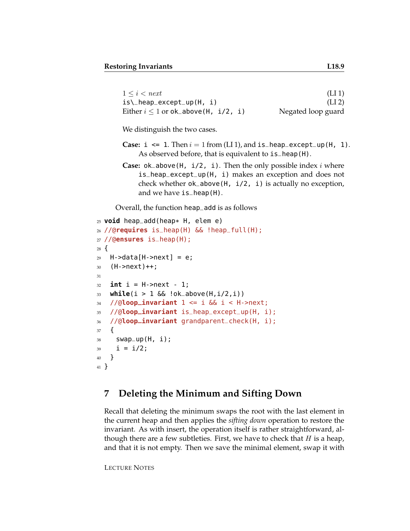| $1 \leq i \leq next$                                               | (LI1)              |
|--------------------------------------------------------------------|--------------------|
| $is \_\begin{bmatrix} \text{heap\_except\_up(H, i)} \end{bmatrix}$ | (LI <sub>2</sub> ) |
| Either $i \leq 1$ or ok_above(H, i/2, i)                           | Negated loop guard |

We distinguish the two cases.

- **Case:**  $i \leq 1$ . Then  $i = 1$  from (LI 1), and  $is$  heap except up (H, 1). As observed before, that is equivalent to is\_heap(H).
- **Case:** ok\_above(H, i/2, i). Then the only possible index i where is\_heap\_except\_up(H, i) makes an exception and does not check whether ok\_above(H, i/2, i) is actually no exception, and we have is\_heap(H).

Overall, the function heap\_add is as follows

```
25 void heap_add(heap* H, elem e)
26 //@requires is_heap(H) && !heap_full(H);
27 //@ensures is_heap(H);
28 \text{ }29 H->data[H->next] = e;
30 (H->next)++;31
32 int i = H->next - 1;
33 while(i > 1 && !ok_above(H,i/2,i))
34 //@loop_invariant 1 <= i && i < H->next;
35 //@loop_invariant is_heap_except_up(H, i);
36 //@loop_invariant grandparent_check(H, i);
37 {
38 swap_up(H, i);
39 \quad i = i/2;40 }
41 }
```
#### **7 Deleting the Minimum and Sifting Down**

Recall that deleting the minimum swaps the root with the last element in the current heap and then applies the *sifting down* operation to restore the invariant. As with insert, the operation itself is rather straightforward, although there are a few subtleties. First, we have to check that  $H$  is a heap, and that it is not empty. Then we save the minimal element, swap it with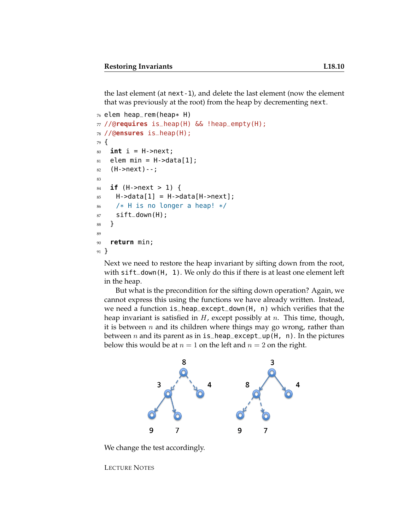the last element (at next-1), and delete the last element (now the element that was previously at the root) from the heap by decrementing next.

```
76 elem heap_rem(heap* H)
77 //@requires is_heap(H) && !heap_empty(H);
78 //@ensures is_heap(H);
79 {
so int i = H->next;
s_1 elem min = H->data[1];
82 (H->next)--;
83
84 if (H->next > 1) {
85 H->data[1] = H->data[H->next];
86 /* H is no longer a heap! */
s7 sift_down(H);
88 }
89
90 return min;
91 }
```
Next we need to restore the heap invariant by sifting down from the root, with sift\_down(H, 1). We only do this if there is at least one element left in the heap.

But what is the precondition for the sifting down operation? Again, we cannot express this using the functions we have already written. Instead, we need a function is\_heap\_except\_down(H, n) which verifies that the heap invariant is satisfied in  $H$ , except possibly at  $n$ . This time, though, it is between  $n$  and its children where things may go wrong, rather than between *n* and its parent as in  $is$  heap except  $up(H, n)$ . In the pictures below this would be at  $n = 1$  on the left and  $n = 2$  on the right.



We change the test accordingly.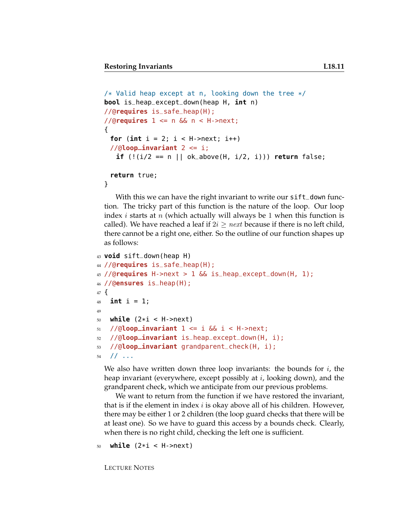```
/* Valid heap except at n, looking down the tree */bool is_heap_except_down(heap H, int n)
//@requires is_safe_heap(H);
//@requires 1 <= n && n < H->next;
{
 for (int i = 2; i < H->next; i++)//@loop_invariant 2 <= i;
  if (!(i/2 == n || ok_above(H, i/2, i))) return false;
```

```
return true;
```

```
}
```
With this we can have the right invariant to write our sift\_down function. The tricky part of this function is the nature of the loop. Our loop index *i* starts at *n* (which actually will always be 1 when this function is called). We have reached a leaf if  $2i \geq next$  because if there is no left child, there cannot be a right one, either. So the outline of our function shapes up as follows:

```
43 void sift_down(heap H)
44 //@requires is_safe_heap(H);
45 //@requires H->next > 1 && is_heap_except_down(H, 1);
46 //@ensures is_heap(H);
47 \frac{1}{2}48 int i = 1;
49
50 while (2*i < H->next)
51 / (0loop_invariant 1 \le i & i \le H->next;
52 //@loop_invariant is_heap_except_down(H, i);
53 //@loop_invariant grandparent_check(H, i);
54 // ...
```
We also have written down three loop invariants: the bounds for  $i$ , the heap invariant (everywhere, except possibly at  $i$ , looking down), and the grandparent check, which we anticipate from our previous problems.

We want to return from the function if we have restored the invariant, that is if the element in index  $i$  is okay above all of his children. However, there may be either 1 or 2 children (the loop guard checks that there will be at least one). So we have to guard this access by a bounds check. Clearly, when there is no right child, checking the left one is sufficient.

```
while (2 * i < H->next)
```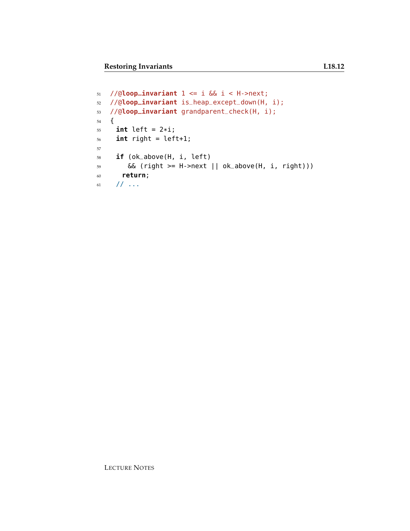```
51 //@loop_invariant 1 <= i && i < H->next;
52 //@loop_invariant is_heap_except_down(H, i);
53 //@loop_invariant grandparent_check(H, i);
54 {
55 int left = 2*1;
56 int right = left+1;
57
58 if (ok_above(H, i, left)
59 && (right >= H->next || ok_above(H, i, right)))
60 return;
61 // ...
```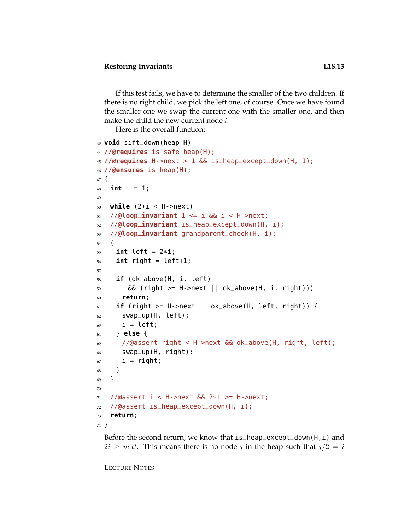If this test fails, we have to determine the smaller of the two children. If there is no right child, we pick the left one, of course. Once we have found the smaller one we swap the current one with the smaller one, and then make the child the new current node  $i$ .

Here is the overall function:

```
43 void sift_down(heap H)
44 //@requires is_safe_heap(H);
45 //@requires H->next > 1 && is_heap_except_down(H, 1);
46 //@ensures is_heap(H);
47 {
48 int i = 1;
49
50 while (2*i < H->next)
51 / (\text{dloop} invariant 1 \le i & i \le H->next;
52 //@loop_invariant is_heap_except_down(H, i);
53 //@loop_invariant grandparent_check(H, i);
54 \quad \text{\AA}55 int left = 2*i;
56 int right = left+1;
57
58 if (ok_above(H, i, left)
59 && (right >= H->next || ok_above(H, i, right)))
60 return;
61 if (right >= H->next || ok_above(H, left, right)) {
62 swap_up(H, left);
63 i = left;
64 } else {
65 //@assert right < H->next && ok_above(H, right, left);
66 swap_up(H, right);
67 i = right;
68 }
69 }
70
71 //@assert i < H->next && 2*i >= H->next;
72 //@assert is_heap_except_down(H, i);
73 return;
74 }
```
Before the second return, we know that  $is$ -heap-except-down(H, i) and  $2i \geq next$ . This means there is no node j in the heap such that  $j/2 = i$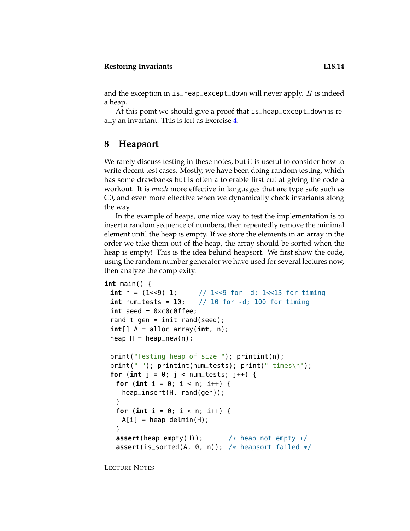and the exception in  $is$ -heap-except-down will never apply. H is indeed a heap.

At this point we should give a proof that is\_heap\_except\_down is really an invariant. This is left as Exercise [4.](#page-15-0)

#### **8 Heapsort**

We rarely discuss testing in these notes, but it is useful to consider how to write decent test cases. Mostly, we have been doing random testing, which has some drawbacks but is often a tolerable first cut at giving the code a workout. It is *much* more effective in languages that are type safe such as C0, and even more effective when we dynamically check invariants along the way.

In the example of heaps, one nice way to test the implementation is to insert a random sequence of numbers, then repeatedly remove the minimal element until the heap is empty. If we store the elements in an array in the order we take them out of the heap, the array should be sorted when the heap is empty! This is the idea behind heapsort. We first show the code, using the random number generator we have used for several lectures now, then analyze the complexity.

```
int main() {
 int n = (1 \le 9) - 1; // 1 \le 9 for -d; 1 \le 13 for timing
 int num tests = 10; \frac{1}{10} for -d; 100 for timing
 int seed = 0xc0c0ffee;
 rand t gen = init rand(seed);
 int[] A = alloc_array(int, n);
 heap H = \text{heap_new}(n);
 print("Testing heap of size "); printint(n);
 print(" "); printint(num_tests); print(" times\n");
 for (int j = 0; j < num\_tests; j++) {
   for (int i = 0; i < n; i++) {
    heap_insert(H, rand(gen));
   }
   for (int i = 0; i < n; i++) {
    A[i] = heap\_delmin(H);}
   assert(heap_empty(H)); /* heap not empty */
   assert(is_sorted(A, 0, n)); /* heapsort failed */
```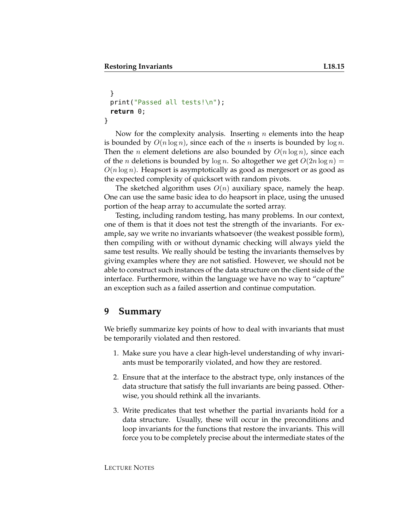```
}
 print("Passed all tests!\n");
 return 0;
}
```
Now for the complexity analysis. Inserting  $n$  elements into the heap is bounded by  $O(n \log n)$ , since each of the *n* inserts is bounded by  $\log n$ . Then the *n* element deletions are also bounded by  $O(n \log n)$ , since each of the *n* deletions is bounded by  $\log n$ . So altogether we get  $O(2n \log n)$  =  $O(n \log n)$ . Heapsort is asymptotically as good as mergesort or as good as the expected complexity of quicksort with random pivots.

The sketched algorithm uses  $O(n)$  auxiliary space, namely the heap. One can use the same basic idea to do heapsort in place, using the unused portion of the heap array to accumulate the sorted array.

Testing, including random testing, has many problems. In our context, one of them is that it does not test the strength of the invariants. For example, say we write no invariants whatsoever (the weakest possible form), then compiling with or without dynamic checking will always yield the same test results. We really should be testing the invariants themselves by giving examples where they are not satisfied. However, we should not be able to construct such instances of the data structure on the client side of the interface. Furthermore, within the language we have no way to "capture" an exception such as a failed assertion and continue computation.

# **9 Summary**

We briefly summarize key points of how to deal with invariants that must be temporarily violated and then restored.

- 1. Make sure you have a clear high-level understanding of why invariants must be temporarily violated, and how they are restored.
- 2. Ensure that at the interface to the abstract type, only instances of the data structure that satisfy the full invariants are being passed. Otherwise, you should rethink all the invariants.
- 3. Write predicates that test whether the partial invariants hold for a data structure. Usually, these will occur in the preconditions and loop invariants for the functions that restore the invariants. This will force you to be completely precise about the intermediate states of the